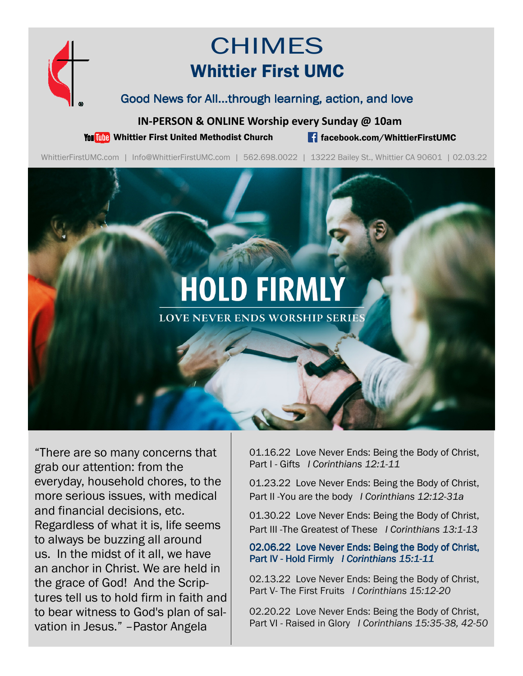

# CHIMES Whittier First UMC

#### Good News for All...through learning, action, and love

**IN-PERSON & ONLINE Worship every Sunday @ 10am** 

You **The Whittier First United Methodist Church Filter of Australian Communist Church facebook.com/WhittierFirstUMC** 

WhittierFirstUMC.com | Info@WhittierFirstUMC.com | 562.698.0022 | 13222 Bailey St., Whittier CA 90601 | 02.03.22

# **HOLD FIRMLY**

**LOVE NEVER ENDS WORSHIP SERIES** 

"There are so many concerns that grab our attention: from the everyday, household chores, to the more serious issues, with medical and financial decisions, etc. Regardless of what it is, life seems to always be buzzing all around us. In the midst of it all, we have an anchor in Christ. We are held in the grace of God! And the Scriptures tell us to hold firm in faith and to bear witness to God's plan of salvation in Jesus." –Pastor Angela

01.16.22 Love Never Ends: Being the Body of Christ, Part I - Gifts *I Corinthians 12:1-11* 

01.23.22 Love Never Ends: Being the Body of Christ, Part II -You are the body *I Corinthians 12:12-31a* 

01.30.22 Love Never Ends: Being the Body of Christ, Part III -The Greatest of These *I Corinthians 13:1-13*

02.06.22 Love Never Ends: Being the Body of Christ, Part IV - Hold Firmly *I Corinthians 15:1-11* 

02.13.22 Love Never Ends: Being the Body of Christ, Part V- The First Fruits *I Corinthians 15:12-20* 

02.20.22 Love Never Ends: Being the Body of Christ, Part VI - Raised in Glory *I Corinthians 15:35-38, 42-50*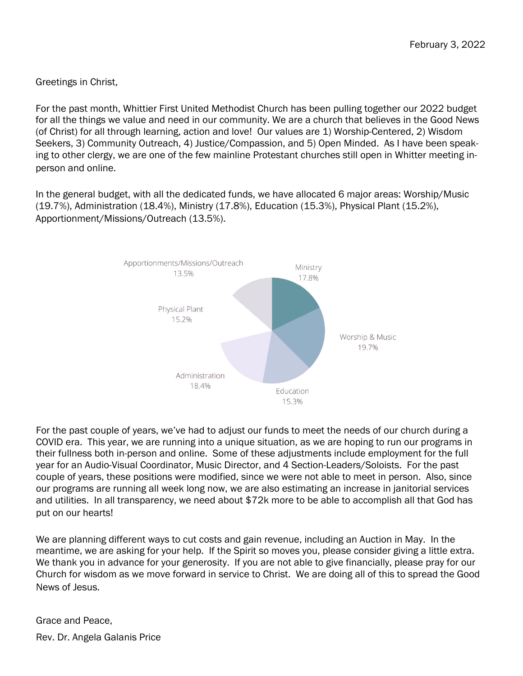Greetings in Christ,

For the past month, Whittier First United Methodist Church has been pulling together our 2022 budget for all the things we value and need in our community. We are a church that believes in the Good News (of Christ) for all through learning, action and love! Our values are 1) Worship-Centered, 2) Wisdom Seekers, 3) Community Outreach, 4) Justice/Compassion, and 5) Open Minded. As I have been speaking to other clergy, we are one of the few mainline Protestant churches still open in Whitter meeting inperson and online.

In the general budget, with all the dedicated funds, we have allocated 6 major areas: Worship/Music (19.7%), Administration (18.4%), Ministry (17.8%), Education (15.3%), Physical Plant (15.2%), Apportionment/Missions/Outreach (13.5%).



For the past couple of years, we've had to adjust our funds to meet the needs of our church during a COVID era. This year, we are running into a unique situation, as we are hoping to run our programs in their fullness both in-person and online. Some of these adjustments include employment for the full year for an Audio-Visual Coordinator, Music Director, and 4 Section-Leaders/Soloists. For the past couple of years, these positions were modified, since we were not able to meet in person. Also, since our programs are running all week long now, we are also estimating an increase in janitorial services and utilities. In all transparency, we need about \$72k more to be able to accomplish all that God has put on our hearts!

We are planning different ways to cut costs and gain revenue, including an Auction in May. In the meantime, we are asking for your help. If the Spirit so moves you, please consider giving a little extra. We thank you in advance for your generosity. If you are not able to give financially, please pray for our Church for wisdom as we move forward in service to Christ. We are doing all of this to spread the Good News of Jesus.

Grace and Peace, Rev. Dr. Angela Galanis Price